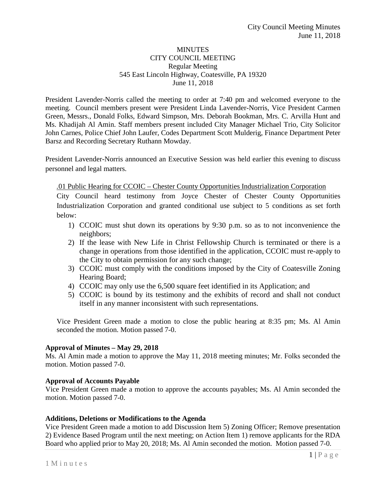### MINUTES CITY COUNCIL MEETING Regular Meeting 545 East Lincoln Highway, Coatesville, PA 19320 June 11, 2018

President Lavender-Norris called the meeting to order at 7:40 pm and welcomed everyone to the meeting. Council members present were President Linda Lavender-Norris, Vice President Carmen Green, Messrs., Donald Folks, Edward Simpson, Mrs. Deborah Bookman, Mrs. C. Arvilla Hunt and Ms. Khadijah Al Amin. Staff members present included City Manager Michael Trio, City Solicitor John Carnes, Police Chief John Laufer, Codes Department Scott Mulderig, Finance Department Peter Barsz and Recording Secretary Ruthann Mowday.

President Lavender-Norris announced an Executive Session was held earlier this evening to discuss personnel and legal matters.

## *.*01 Public Hearing for CCOIC – Chester County Opportunities Industrialization Corporation

City Council heard testimony from Joyce Chester of Chester County Opportunities Industrialization Corporation and granted conditional use subject to 5 conditions as set forth below:

- 1) CCOIC must shut down its operations by 9:30 p.m. so as to not inconvenience the neighbors;
- 2) If the lease with New Life in Christ Fellowship Church is terminated or there is a change in operations from those identified in the application, CCOIC must re-apply to the City to obtain permission for any such change;
- 3) CCOIC must comply with the conditions imposed by the City of Coatesville Zoning Hearing Board;
- 4) CCOIC may only use the 6,500 square feet identified in its Application; and
- 5) CCOIC is bound by its testimony and the exhibits of record and shall not conduct itself in any manner inconsistent with such representations.

Vice President Green made a motion to close the public hearing at 8:35 pm; Ms. Al Amin seconded the motion. Motion passed 7-0.

## **Approval of Minutes – May 29, 2018**

Ms. Al Amin made a motion to approve the May 11, 2018 meeting minutes; Mr. Folks seconded the motion. Motion passed 7-0.

## **Approval of Accounts Payable**

Vice President Green made a motion to approve the accounts payables; Ms. Al Amin seconded the motion. Motion passed 7-0.

### **Additions, Deletions or Modifications to the Agenda**

Vice President Green made a motion to add Discussion Item 5) Zoning Officer; Remove presentation 2) Evidence Based Program until the next meeting; on Action Item 1) remove applicants for the RDA Board who applied prior to May 20, 2018; Ms. Al Amin seconded the motion. Motion passed 7-0.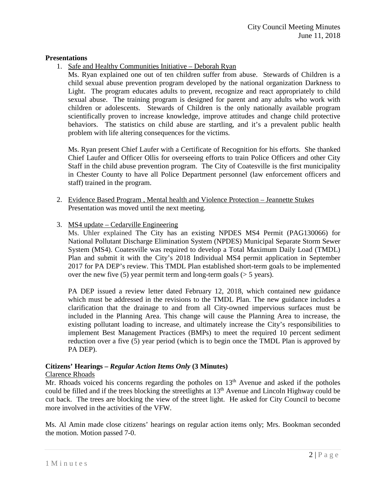### **Presentations**

1. Safe and Healthy Communities Initiative – Deborah Ryan

Ms. Ryan explained one out of ten children suffer from abuse. Stewards of Children is a child sexual abuse prevention program developed by the national organization Darkness to Light. The program educates adults to prevent, recognize and react appropriately to child sexual abuse. The training program is designed for parent and any adults who work with children or adolescents. Stewards of Children is the only nationally available program scientifically proven to increase knowledge, improve attitudes and change child protective behaviors. The statistics on child abuse are startling, and it's a prevalent public health problem with life altering consequences for the victims.

Ms. Ryan present Chief Laufer with a Certificate of Recognition for his efforts. She thanked Chief Laufer and Officer Ollis for overseeing efforts to train Police Officers and other City Staff in the child abuse prevention program. The City of Coatesville is the first municipality in Chester County to have all Police Department personnel (law enforcement officers and staff) trained in the program.

- 2. Evidence Based Program , Mental health and Violence Protection Jeannette Stukes Presentation was moved until the next meeting.
- 3. MS4 update Cedarville Engineering

Ms. Uhler explained The City has an existing NPDES MS4 Permit (PAG130066) for National Pollutant Discharge Elimination System (NPDES) Municipal Separate Storm Sewer System (MS4). Coatesville was required to develop a Total Maximum Daily Load (TMDL) Plan and submit it with the City's 2018 Individual MS4 permit application in September 2017 for PA DEP's review. This TMDL Plan established short-term goals to be implemented over the new five  $(5)$  year permit term and long-term goals  $(55 \text{ years})$ .

PA DEP issued a review letter dated February 12, 2018, which contained new guidance which must be addressed in the revisions to the TMDL Plan. The new guidance includes a clarification that the drainage to and from all City-owned impervious surfaces must be included in the Planning Area. This change will cause the Planning Area to increase, the existing pollutant loading to increase, and ultimately increase the City's responsibilities to implement Best Management Practices (BMPs) to meet the required 10 percent sediment reduction over a five (5) year period (which is to begin once the TMDL Plan is approved by PA DEP).

## **Citizens' Hearings –** *Regular Action Items Only* **(3 Minutes)**

### Clarence Rhoads

Mr. Rhoads voiced his concerns regarding the potholes on  $13<sup>th</sup>$  Avenue and asked if the potholes could be filled and if the trees blocking the streetlights at  $13<sup>th</sup>$  Avenue and Lincoln Highway could be cut back. The trees are blocking the view of the street light. He asked for City Council to become more involved in the activities of the VFW.

Ms. Al Amin made close citizens' hearings on regular action items only; Mrs. Bookman seconded the motion. Motion passed 7-0.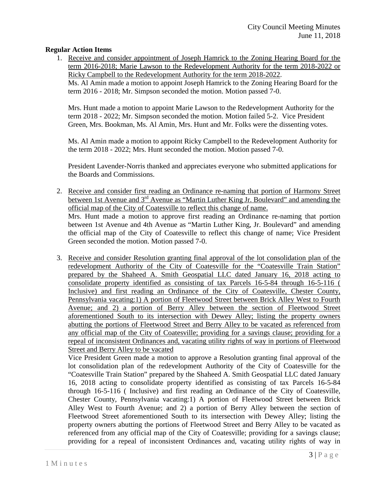### **Regular Action Items**

1. Receive and consider appointment of Joseph Hamrick to the Zoning Hearing Board for the term 2016-2018; Marie Lawson to the Redevelopment Authority for the term 2018-2022 or Ricky Campbell to the Redevelopment Authority for the term 2018-2022. Ms. Al Amin made a motion to appoint Joseph Hamrick to the Zoning Hearing Board for the term 2016 - 2018; Mr. Simpson seconded the motion. Motion passed 7-0.

Mrs. Hunt made a motion to appoint Marie Lawson to the Redevelopment Authority for the term 2018 - 2022; Mr. Simpson seconded the motion. Motion failed 5-2. Vice President Green, Mrs. Bookman, Ms. Al Amin, Mrs. Hunt and Mr. Folks were the dissenting votes.

Ms. Al Amin made a motion to appoint Ricky Campbell to the Redevelopment Authority for the term 2018 - 2022; Mrs. Hunt seconded the motion. Motion passed 7-0.

President Lavender-Norris thanked and appreciates everyone who submitted applications for the Boards and Commissions.

- 2. Receive and consider first reading an Ordinance re-naming that portion of Harmony Street between 1st Avenue and 3<sup>rd</sup> Avenue as "Martin Luther King Jr. Boulevard" and amending the official map of the City of Coatesville to reflect this change of name. Mrs. Hunt made a motion to approve first reading an Ordinance re-naming that portion between 1st Avenue and 4th Avenue as "Martin Luther King, Jr. Boulevard" and amending the official map of the City of Coatesville to reflect this change of name; Vice President Green seconded the motion. Motion passed 7-0.
- 3. Receive and consider Resolution granting final approval of the lot consolidation plan of the redevelopment Authority of the City of Coatesville for the "Coatesville Train Station" prepared by the Shaheed A. Smith Geospatial LLC dated January 16, 2018 acting to consolidate property identified as consisting of tax Parcels 16-5-84 through 16-5-116 ( Inclusive) and first reading an Ordinance of the City of Coatesville, Chester County, Pennsylvania vacating:1) A portion of Fleetwood Street between Brick Alley West to Fourth Avenue; and 2) a portion of Berry Alley between the section of Fleetwood Street aforementioned South to its intersection with Dewey Alley; listing the property owners abutting the portions of Fleetwood Street and Berry Alley to be vacated as referenced from any official map of the City of Coatesville; providing for a savings clause; providing for a repeal of inconsistent Ordinances and, vacating utility rights of way in portions of Fleetwood Street and Berry Alley to be vacated

Vice President Green made a motion to approve a Resolution granting final approval of the lot consolidation plan of the redevelopment Authority of the City of Coatesville for the "Coatesville Train Station" prepared by the Shaheed A. Smith Geospatial LLC dated January 16, 2018 acting to consolidate property identified as consisting of tax Parcels 16-5-84 through 16-5-116 ( Inclusive) and first reading an Ordinance of the City of Coatesville, Chester County, Pennsylvania vacating:1) A portion of Fleetwood Street between Brick Alley West to Fourth Avenue; and 2) a portion of Berry Alley between the section of Fleetwood Street aforementioned South to its intersection with Dewey Alley; listing the property owners abutting the portions of Fleetwood Street and Berry Alley to be vacated as referenced from any official map of the City of Coatesville; providing for a savings clause; providing for a repeal of inconsistent Ordinances and, vacating utility rights of way in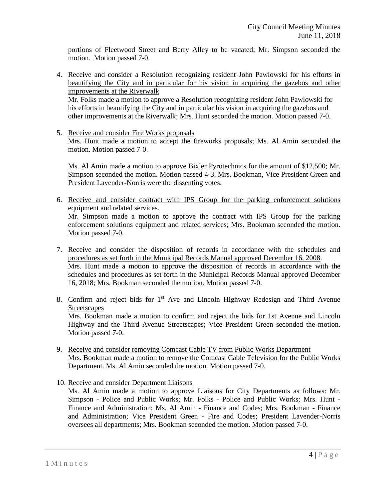portions of Fleetwood Street and Berry Alley to be vacated; Mr. Simpson seconded the motion. Motion passed 7-0.

4. Receive and consider a Resolution recognizing resident John Pawlowski for his efforts in beautifying the City and in particular for his vision in acquiring the gazebos and other improvements at the Riverwalk Mr. Folks made a motion to approve a Resolution recognizing resident John Pawlowski for

his efforts in beautifying the City and in particular his vision in acquiring the gazebos and other improvements at the Riverwalk; Mrs. Hunt seconded the motion. Motion passed 7-0.

5. Receive and consider Fire Works proposals Mrs. Hunt made a motion to accept the fireworks proposals; Ms. Al Amin seconded the motion. Motion passed 7-0.

Ms. Al Amin made a motion to approve Bixler Pyrotechnics for the amount of \$12,500; Mr. Simpson seconded the motion. Motion passed 4-3. Mrs. Bookman, Vice President Green and President Lavender-Norris were the dissenting votes.

- 6. Receive and consider contract with IPS Group for the parking enforcement solutions equipment and related services. Mr. Simpson made a motion to approve the contract with IPS Group for the parking enforcement solutions equipment and related services; Mrs. Bookman seconded the motion. Motion passed 7-0.
- 7. Receive and consider the disposition of records in accordance with the schedules and procedures as set forth in the Municipal Records Manual approved December 16, 2008. Mrs. Hunt made a motion to approve the disposition of records in accordance with the schedules and procedures as set forth in the Municipal Records Manual approved December 16, 2018; Mrs. Bookman seconded the motion. Motion passed 7-0.
- 8. Confirm and reject bids for  $1<sup>st</sup>$  Ave and Lincoln Highway Redesign and Third Avenue **Streetscapes** Mrs. Bookman made a motion to confirm and reject the bids for 1st Avenue and Lincoln Highway and the Third Avenue Streetscapes; Vice President Green seconded the motion. Motion passed 7-0.
- 9. Receive and consider removing Comcast Cable TV from Public Works Department Mrs. Bookman made a motion to remove the Comcast Cable Television for the Public Works Department. Ms. Al Amin seconded the motion. Motion passed 7-0.
- 10. Receive and consider Department Liaisons

Ms. Al Amin made a motion to approve Liaisons for City Departments as follows: Mr. Simpson - Police and Public Works; Mr. Folks - Police and Public Works; Mrs. Hunt - Finance and Administration; Ms. Al Amin - Finance and Codes; Mrs. Bookman - Finance and Administration; Vice President Green - Fire and Codes; President Lavender-Norris oversees all departments; Mrs. Bookman seconded the motion. Motion passed 7-0.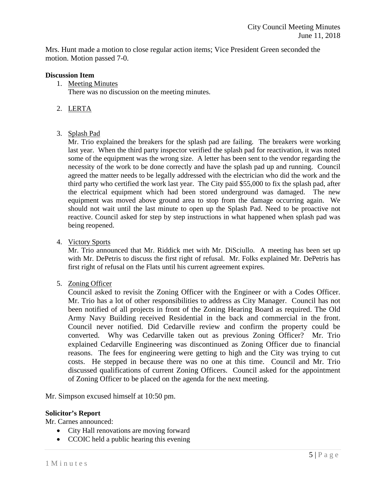Mrs. Hunt made a motion to close regular action items; Vice President Green seconded the motion. Motion passed 7-0.

### **Discussion Item**

- 1. Meeting Minutes There was no discussion on the meeting minutes.
- 2. LERTA
- 3. Splash Pad

Mr. Trio explained the breakers for the splash pad are failing. The breakers were working last year. When the third party inspector verified the splash pad for reactivation, it was noted some of the equipment was the wrong size. A letter has been sent to the vendor regarding the necessity of the work to be done correctly and have the splash pad up and running. Council agreed the matter needs to be legally addressed with the electrician who did the work and the third party who certified the work last year. The City paid \$55,000 to fix the splash pad, after the electrical equipment which had been stored underground was damaged. The new equipment was moved above ground area to stop from the damage occurring again. We should not wait until the last minute to open up the Splash Pad. Need to be proactive not reactive. Council asked for step by step instructions in what happened when splash pad was being reopened.

4. Victory Sports

Mr. Trio announced that Mr. Riddick met with Mr. DiSciullo. A meeting has been set up with Mr. DePetris to discuss the first right of refusal. Mr. Folks explained Mr. DePetris has first right of refusal on the Flats until his current agreement expires.

5. Zoning Officer

Council asked to revisit the Zoning Officer with the Engineer or with a Codes Officer. Mr. Trio has a lot of other responsibilities to address as City Manager. Council has not been notified of all projects in front of the Zoning Hearing Board as required. The Old Army Navy Building received Residential in the back and commercial in the front. Council never notified. Did Cedarville review and confirm the property could be converted. Why was Cedarville taken out as previous Zoning Officer? Mr. Trio explained Cedarville Engineering was discontinued as Zoning Officer due to financial reasons. The fees for engineering were getting to high and the City was trying to cut costs. He stepped in because there was no one at this time. Council and Mr. Trio discussed qualifications of current Zoning Officers. Council asked for the appointment of Zoning Officer to be placed on the agenda for the next meeting.

Mr. Simpson excused himself at 10:50 pm.

## **Solicitor's Report**

Mr. Carnes announced:

- City Hall renovations are moving forward
- CCOIC held a public hearing this evening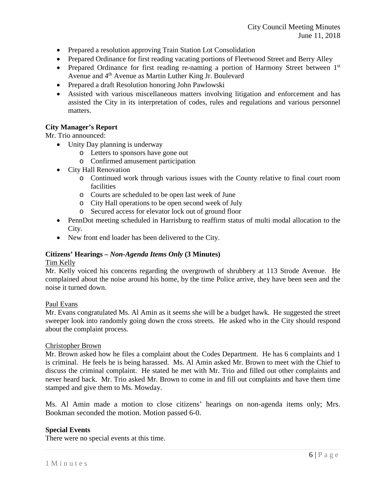- Prepared a resolution approving Train Station Lot Consolidation
- Prepared Ordinance for first reading vacating portions of Fleetwood Street and Berry Alley
- Prepared Ordinance for first reading re-naming a portion of Harmony Street between  $1<sup>st</sup>$ Avenue and 4<sup>th</sup> Avenue as Martin Luther King Jr. Boulevard
- Prepared a draft Resolution honoring John Pawlowski
- Assisted with various miscellaneous matters involving litigation and enforcement and has assisted the City in its interpretation of codes, rules and regulations and various personnel matters.

# **City Manager's Report**

Mr. Trio announced:

- Unity Day planning is underway
	- o Letters to sponsors have gone out
	- o Confirmed amusement participation
- City Hall Renovation
	- o Continued work through various issues with the County relative to final court room facilities
	- o Courts are scheduled to be open last week of June
	- o City Hall operations to be open second week of July
	- o Secured access for elevator lock out of ground floor
- PennDot meeting scheduled in Harrisburg to reaffirm status of multi modal allocation to the City.
- New front end loader has been delivered to the City.

### **Citizens' Hearings –** *Non-Agenda Items Only* **(3 Minutes)**

### Tim Kelly

Mr. Kelly voiced his concerns regarding the overgrowth of shrubbery at 113 Strode Avenue. He complained about the noise around his home, by the time Police arrive, they have been seen and the noise it turned down.

### Paul Evans

Mr. Evans congratulated Ms. Al Amin as it seems she will be a budget hawk. He suggested the street sweeper look into randomly going down the cross streets. He asked who in the City should respond about the complaint process.

### Christopher Brown

Mr. Brown asked how he files a complaint about the Codes Department. He has 6 complaints and 1 is criminal. He feels he is being harassed. Ms. Al Amin asked Mr. Brown to meet with the Chief to discuss the criminal complaint. He stated he met with Mr. Trio and filled out other complaints and never heard back. Mr. Trio asked Mr. Brown to come in and fill out complaints and have them time stamped and give them to Ms. Mowday.

Ms. Al Amin made a motion to close citizens' hearings on non-agenda items only; Mrs. Bookman seconded the motion. Motion passed 6-0.

### **Special Events**

There were no special events at this time.